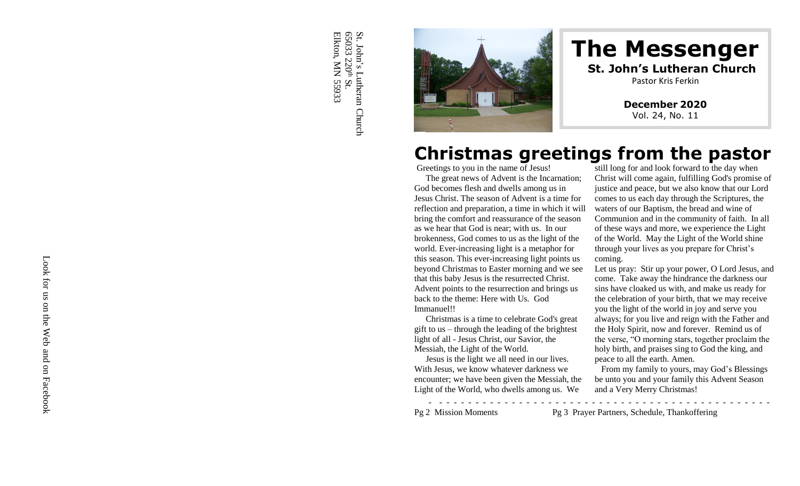Elkton, MN 55933 Elkton, MN 55933 65033 220St. John's Lutheran Church s  $\mathbf{S}_\text{t}$ 



### **The Messenger St. John's Lutheran Church** Pastor Kris Ferkin

**December 20 2 0** Vol. 2 4, No. 11

# **Christmas greetings from the pastor**

Greetings to you in the name of Jesus!

The great news of Advent is the Incarnation; God becomes flesh and dwells among us in Jesus Christ. The season of Advent is a time for reflection and preparation, a time in which it will bring the comfort and reassurance of the season as we hear that God is near; with us. In our brokenness, God comes to us as the light of the world. Ever -increasing light is a metaphor for this season. This ever -increasing light points us beyond Christmas to Easter morning and we see that this baby Jesus is the resurrected Christ. Advent points to the resurrection and brings us back to the theme: Here with Us. God Immanuel!!

Christmas is a time to celebrate God's great gift to us – through the leading of the brightest light of all - Jesus Christ, our Savior, the Messiah, the Light of the World.

Jesus is the light we all need in our lives. With Jesus, we know whatever darkness we encounter; we have been given the Messiah, the Light of the World, who dwells among us. We

still long for and look forward to the day when Christ will come again, fulfilling God's promise of justice and peace, but we also know that our Lord comes to us each day through the Scriptures, the waters of our Baptism, the bread and wine of Communion and in the community of faith. In all of these ways and more, we experience the Light of the World. May the Light of the World shine through your lives as you prepare for Christ's coming.

Let us pray: Stir up your power, O Lord Jesus, and come. Take away the hindrance the darkness our sins have cloaked us with, and make us ready for the celebration of your birth, that we may receive you the light of the world in joy and serve you always; for you live and reign with the Father and the Holy Spirit, now and forever. Remind us of the verse, "O morning stars, together proclaim the holy birth, and praises sing to God the king, and peace to all the earth. Amen.

 From my family to yours , m ay God's Blessings be unto you and your family this Advent Season and a Very Merry Christmas!

-

- - - - - - - - - - - - - - - - - - - - - - -

- - -

- - Pg 2 Mission Moments Pg 3 Prayer Partners, Schedule, Thankoffering

- - - - - - - - - - - - - - - - - -

Look for us on the Web and on Facebook Look for us on the Web and on Facebook